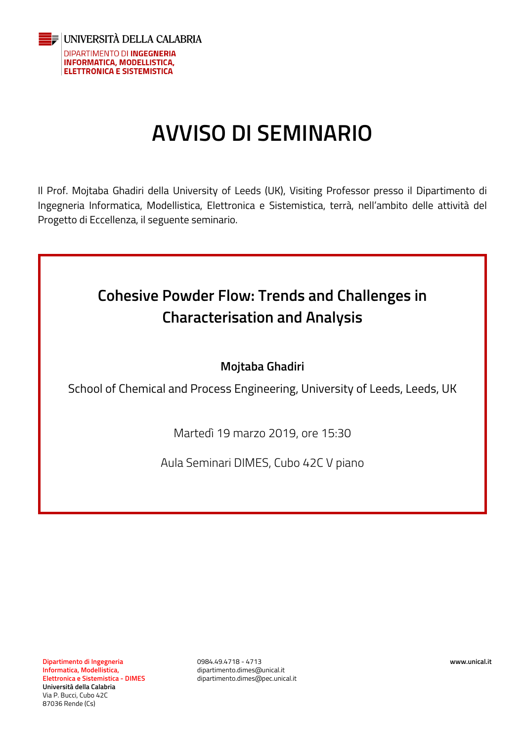

## **AVVISO DI SEMINARIO**

Il Prof. Mojtaba Ghadiri della University of Leeds (UK), Visiting Professor presso il Dipartimento di Ingegneria Informatica, Modellistica, Elettronica e Sistemistica, terrà, nell'ambito delle attività del Progetto di Eccellenza, il seguente seminario.



## **Mojtaba Ghadiri**

School of Chemical and Process Engineering, University of Leeds, Leeds, UK

Martedì 19 marzo 2019, ore 15:30

Aula Seminari DIMES, Cubo 42C V piano

0984.49.4718 - 4713 dipartimento.dimes@unical.it dipartimento.dimes@pec.unical.it